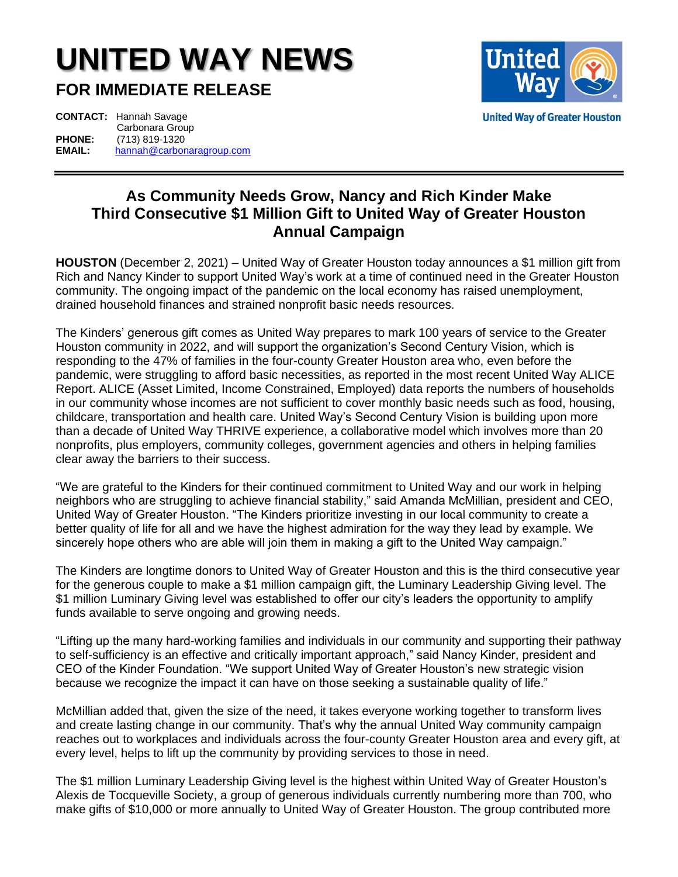## **UNITED WAY NEWS**

**FOR IMMEDIATE RELEASE**



**CONTACT:** Hannah Savage Carbonara Group<br>PHONE:  $(713) 819-1320$ **PHONE:** (713) 819-1320 **EMAIL:** [hannah@carbonaragroup.com](mailto:hannah@carbonaragroup.com)

## **As Community Needs Grow, Nancy and Rich Kinder Make Third Consecutive \$1 Million Gift to United Way of Greater Houston Annual Campaign**

**HOUSTON** (December 2, 2021) – United Way of Greater Houston today announces a \$1 million gift from Rich and Nancy Kinder to support United Way's work at a time of continued need in the Greater Houston community. The ongoing impact of the pandemic on the local economy has raised unemployment, drained household finances and strained nonprofit basic needs resources.

The Kinders' generous gift comes as United Way prepares to mark 100 years of service to the Greater Houston community in 2022, and will support the organization's Second Century Vision, which is responding to the 47% of families in the four-county Greater Houston area who, even before the pandemic, were struggling to afford basic necessities, as reported in the most recent United Way ALICE Report. ALICE (Asset Limited, Income Constrained, Employed) data reports the numbers of households in our community whose incomes are not sufficient to cover monthly basic needs such as food, housing, childcare, transportation and health care. United Way's Second Century Vision is building upon more than a decade of United Way THRIVE experience, a collaborative model which involves more than 20 nonprofits, plus employers, community colleges, government agencies and others in helping families clear away the barriers to their success.

"We are grateful to the Kinders for their continued commitment to United Way and our work in helping neighbors who are struggling to achieve financial stability," said Amanda McMillian, president and CEO, United Way of Greater Houston. "The Kinders prioritize investing in our local community to create a better quality of life for all and we have the highest admiration for the way they lead by example. We sincerely hope others who are able will join them in making a gift to the United Way campaign."

The Kinders are longtime donors to United Way of Greater Houston and this is the third consecutive year for the generous couple to make a \$1 million campaign gift, the Luminary Leadership Giving level. The \$1 million Luminary Giving level was established to offer our city's leaders the opportunity to amplify funds available to serve ongoing and growing needs.

"Lifting up the many hard-working families and individuals in our community and supporting their pathway to self-sufficiency is an effective and critically important approach," said Nancy Kinder, president and CEO of the Kinder Foundation. "We support United Way of Greater Houston's new strategic vision because we recognize the impact it can have on those seeking a sustainable quality of life."

McMillian added that, given the size of the need, it takes everyone working together to transform lives and create lasting change in our community. That's why the annual United Way community campaign reaches out to workplaces and individuals across the four-county Greater Houston area and every gift, at every level, helps to lift up the community by providing services to those in need.

The \$1 million Luminary Leadership Giving level is the highest within United Way of Greater Houston's Alexis de Tocqueville Society, a group of generous individuals currently numbering more than 700, who make gifts of \$10,000 or more annually to United Way of Greater Houston. The group contributed more